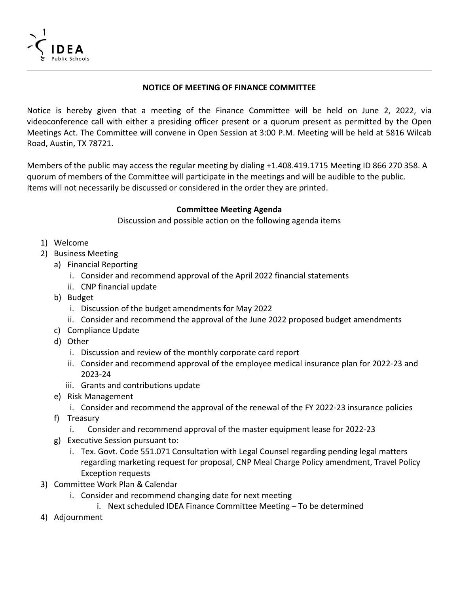

## **NOTICE OF MEETING OF FINANCE COMMITTEE**

Notice is hereby given that a meeting of the Finance Committee will be held on June 2, 2022, via videoconference call with either a presiding officer present or a quorum present as permitted by the Open Meetings Act. The Committee will convene in Open Session at 3:00 P.M. Meeting will be held at 5816 Wilcab Road, Austin, TX 78721.

Members of the public may access the regular meeting by dialing +1.408.419.1715 Meeting ID 866 270 358. A quorum of members of the Committee will participate in the meetings and will be audible to the public. Items will not necessarily be discussed or considered in the order they are printed.

## **Committee Meeting Agenda**

Discussion and possible action on the following agenda items

- 1) Welcome
- 2) Business Meeting
	- a) Financial Reporting
		- i. Consider and recommend approval of the April 2022 financial statements
		- ii. CNP financial update
	- b) Budget
		- i. Discussion of the budget amendments for May 2022
		- ii. Consider and recommend the approval of the June 2022 proposed budget amendments
	- c) Compliance Update
	- d) Other
		- i. Discussion and review of the monthly corporate card report
		- ii. Consider and recommend approval of the employee medical insurance plan for 2022‐23 and 2023‐24
		- iii. Grants and contributions update
	- e) Risk Management
		- i. Consider and recommend the approval of the renewal of the FY 2022‐23 insurance policies
	- f) Treasury
		- i. Consider and recommend approval of the master equipment lease for 2022‐23
	- g) Executive Session pursuant to:
		- i. Tex. Govt. Code 551.071 Consultation with Legal Counsel regarding pending legal matters regarding marketing request for proposal, CNP Meal Charge Policy amendment, Travel Policy Exception requests
- 3) Committee Work Plan & Calendar
	- i. Consider and recommend changing date for next meeting
		- i. Next scheduled IDEA Finance Committee Meeting To be determined
- 4) Adjournment